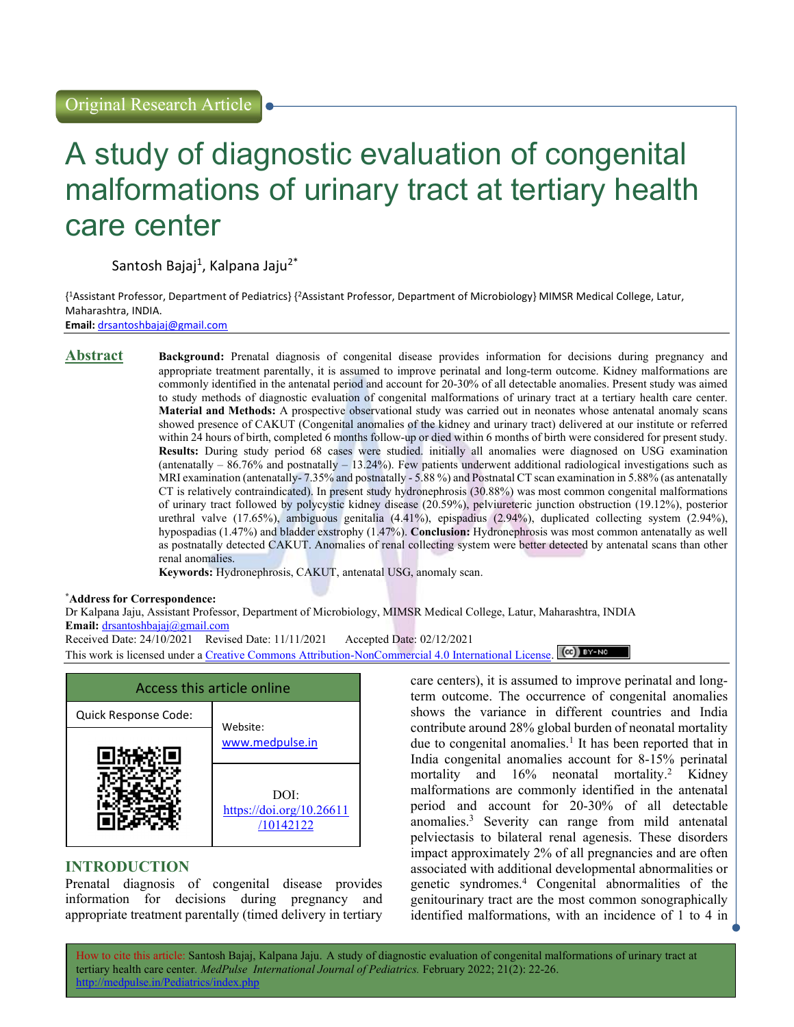# A study of diagnostic evaluation of congenital malformations of urinary tract at tertiary health care center

Santosh Bajaj<sup>1</sup>, Kalpana Jaju<sup>2\*</sup>

{ <sup>1</sup>Assistant Professor, Department of Pediatrics} {<sup>2</sup>Assistant Professor, Department of Microbiology} MIMSR Medical College, Latur, Maharashtra, INDIA. Email: drsantoshbajaj@gmail.com

Abstract Background: Prenatal diagnosis of congenital disease provides information for decisions during pregnancy and appropriate treatment parentally, it is assumed to improve perinatal and long-term outcome. Kidney malformations are commonly identified in the antenatal period and account for 20-30% of all detectable anomalies. Present study was aimed to study methods of diagnostic evaluation of congenital malformations of urinary tract at a tertiary health care center. Material and Methods: A prospective observational study was carried out in neonates whose antenatal anomaly scans showed presence of CAKUT (Congenital anomalies of the kidney and urinary tract) delivered at our institute or referred within 24 hours of birth, completed 6 months follow-up or died within 6 months of birth were considered for present study. Results: During study period 68 cases were studied. initially all anomalies were diagnosed on USG examination (antenatally – 86.76% and postnatally – 13.24%). Few patients underwent additional radiological investigations such as MRI examination (antenatally- 7.35% and postnatally - 5.88 %) and Postnatal CT scan examination in 5.88% (as antenatally CT is relatively contraindicated). In present study hydronephrosis (30.88%) was most common congenital malformations of urinary tract followed by polycystic kidney disease (20.59%), pelviureteric junction obstruction (19.12%), posterior urethral valve (17.65%), ambiguous genitalia (4.41%), epispadius (2.94%), duplicated collecting system (2.94%), hypospadias (1.47%) and bladder exstrophy (1.47%). Conclusion: Hydronephrosis was most common antenatally as well as postnatally detected CAKUT. Anomalies of renal collecting system were better detected by antenatal scans than other renal anomalies.

Keywords: Hydronephrosis, CAKUT, antenatal USG, anomaly scan.

\*Address for Correspondence:

Dr Kalpana Jaju, Assistant Professor, Department of Microbiology, MIMSR Medical College, Latur, Maharashtra, INDIA Email: drsantoshbajaj@gmail.com

Received Date: 24/10/2021 Revised Date: 11/11/2021 Accepted Date: 02/12/2021

This work is licensed under a Creative Commons Attribution-NonCommercial 4.0 International License. (CC) EY-NO



## INTRODUCTION

Prenatal diagnosis of congenital disease provides information for decisions during pregnancy and appropriate treatment parentally (timed delivery in tertiary

care centers), it is assumed to improve perinatal and longterm outcome. The occurrence of congenital anomalies shows the variance in different countries and India contribute around 28% global burden of neonatal mortality due to congenital anomalies.<sup>1</sup> It has been reported that in India congenital anomalies account for 8-15% perinatal mortality and 16% neonatal mortality.<sup>2</sup> Kidney malformations are commonly identified in the antenatal period and account for 20-30% of all detectable anomalies.<sup>3</sup> Severity can range from mild antenatal pelviectasis to bilateral renal agenesis. These disorders impact approximately 2% of all pregnancies and are often associated with additional developmental abnormalities or genetic syndromes.<sup>4</sup> Congenital abnormalities of the genitourinary tract are the most common sonographically identified malformations, with an incidence of 1 to 4 in

How to cite this article: Santosh Bajaj, Kalpana Jaju. A study of diagnostic evaluation of congenital malformations of urinary tract at tertiary health care center. MedPulse International Journal of Pediatrics. February 2022; 21(2): 22-26. http://medpulse.in/Pediatrics/index.php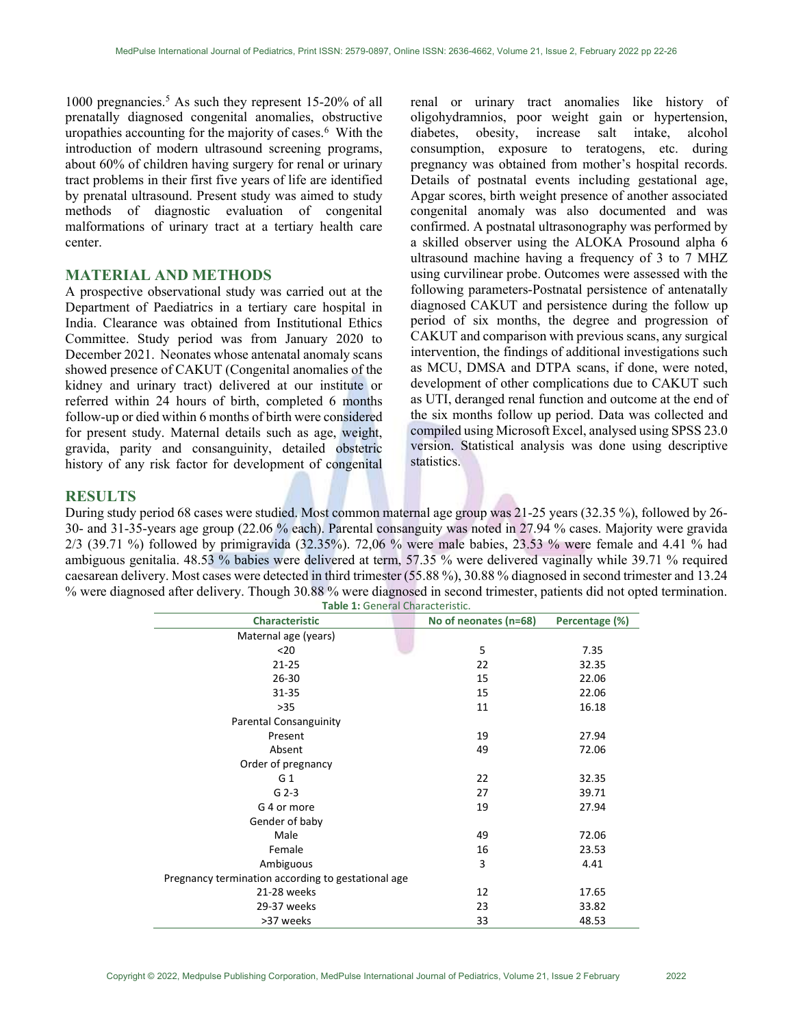1000 pregnancies.<sup>5</sup> As such they represent 15-20% of all prenatally diagnosed congenital anomalies, obstructive uropathies accounting for the majority of cases.<sup>6</sup> With the introduction of modern ultrasound screening programs, about 60% of children having surgery for renal or urinary tract problems in their first five years of life are identified by prenatal ultrasound. Present study was aimed to study methods of diagnostic evaluation of congenital malformations of urinary tract at a tertiary health care center.

#### MATERIAL AND METHODS

A prospective observational study was carried out at the Department of Paediatrics in a tertiary care hospital in India. Clearance was obtained from Institutional Ethics Committee. Study period was from January 2020 to December 2021. Neonates whose antenatal anomaly scans showed presence of CAKUT (Congenital anomalies of the kidney and urinary tract) delivered at our institute or referred within 24 hours of birth, completed 6 months follow-up or died within 6 months of birth were considered for present study. Maternal details such as age, weight, gravida, parity and consanguinity, detailed obstetric history of any risk factor for development of congenital

renal or urinary tract anomalies like history of oligohydramnios, poor weight gain or hypertension, diabetes, obesity, increase salt intake, alcohol consumption, exposure to teratogens, etc. during pregnancy was obtained from mother's hospital records. Details of postnatal events including gestational age, Apgar scores, birth weight presence of another associated congenital anomaly was also documented and was confirmed. A postnatal ultrasonography was performed by a skilled observer using the ALOKA Prosound alpha 6 ultrasound machine having a frequency of 3 to 7 MHZ using curvilinear probe. Outcomes were assessed with the following parameters-Postnatal persistence of antenatally diagnosed CAKUT and persistence during the follow up period of six months, the degree and progression of CAKUT and comparison with previous scans, any surgical intervention, the findings of additional investigations such as MCU, DMSA and DTPA scans, if done, were noted, development of other complications due to CAKUT such as UTI, deranged renal function and outcome at the end of the six months follow up period. Data was collected and compiled using Microsoft Excel, analysed using SPSS 23.0 version. Statistical analysis was done using descriptive statistics.

#### RESULTS

During study period 68 cases were studied. Most common maternal age group was 21-25 years (32.35 %), followed by 26- 30- and 31-35-years age group (22.06 % each). Parental consanguity was noted in 27.94 % cases. Majority were gravida 2/3 (39.71 %) followed by primigravida (32.35%). 72,06 % were male babies, 23.53 % were female and 4.41 % had ambiguous genitalia. 48.53 % babies were delivered at term, 57.35 % were delivered vaginally while 39.71 % required caesarean delivery. Most cases were detected in third trimester (55.88 %), 30.88 % diagnosed in second trimester and 13.24 % were diagnosed after delivery. Though 30.88 % were diagnosed in second trimester, patients did not opted termination. Table 1: General Characteristic.

| <b>Characteristic</b>                              | No of neonates (n=68) | Percentage (%) |
|----------------------------------------------------|-----------------------|----------------|
| Maternal age (years)                               |                       |                |
| $20$                                               | 5                     | 7.35           |
| 21-25                                              | 22                    | 32.35          |
| $26 - 30$                                          | 15                    | 22.06          |
| 31-35                                              | 15                    | 22.06          |
| $>35$                                              | 11                    | 16.18          |
| <b>Parental Consanguinity</b>                      |                       |                |
| Present                                            | 19                    | 27.94          |
| Absent                                             | 49                    | 72.06          |
| Order of pregnancy                                 |                       |                |
| G <sub>1</sub>                                     | 22                    | 32.35          |
| $G$ 2-3                                            | 27                    | 39.71          |
| G 4 or more                                        | 19                    | 27.94          |
| Gender of baby                                     |                       |                |
| Male                                               | 49                    | 72.06          |
| Female                                             | 16                    | 23.53          |
| Ambiguous                                          | 3                     | 4.41           |
| Pregnancy termination according to gestational age |                       |                |
| 21-28 weeks                                        | 12                    | 17.65          |
| 29-37 weeks                                        | 23                    | 33.82          |
| >37 weeks                                          | 33                    | 48.53          |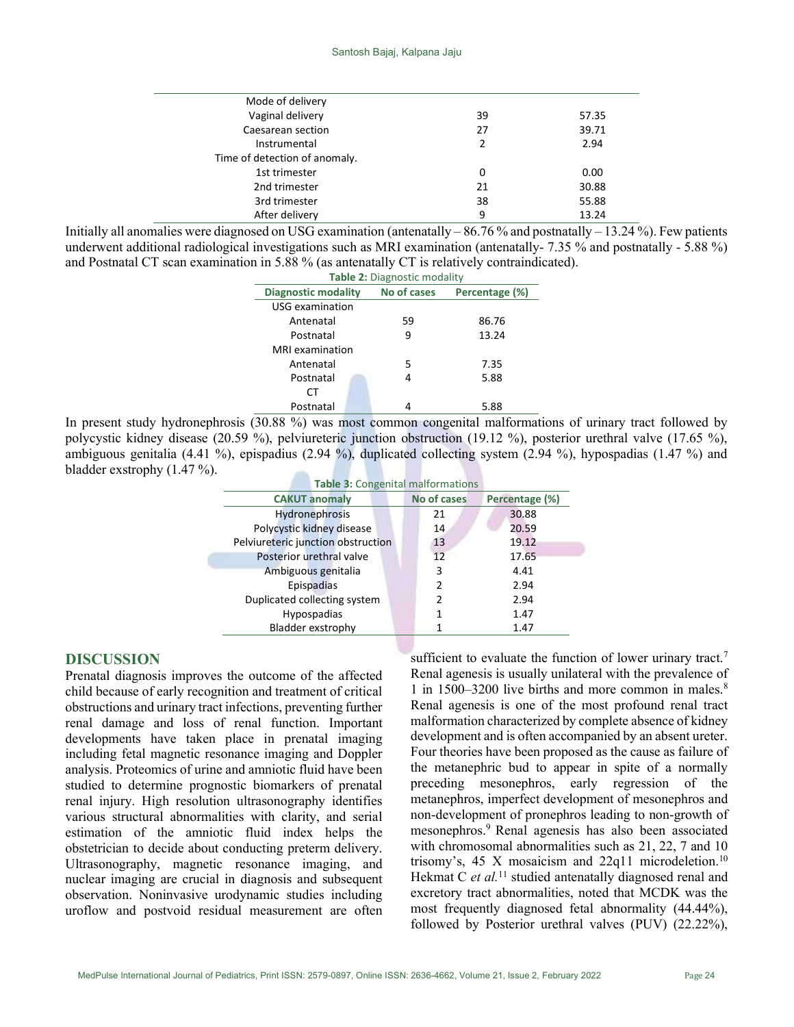| Mode of delivery              |    |       |
|-------------------------------|----|-------|
| Vaginal delivery              | 39 | 57.35 |
| Caesarean section             | 27 | 39.71 |
| Instrumental                  | 2  | 2.94  |
| Time of detection of anomaly. |    |       |
| 1st trimester                 | 0  | 0.00  |
| 2nd trimester                 | 21 | 30.88 |
| 3rd trimester                 | 38 | 55.88 |
| After delivery                | 9  | 13.24 |
|                               |    |       |

Initially all anomalies were diagnosed on USG examination (antenatally –  $86.76\%$  and postnatally –  $13.24\%$ ). Few patients underwent additional radiological investigations such as MRI examination (antenatally- 7.35 % and postnatally - 5.88 %) and Postnatal CT scan examination in 5.88 % (as antenatally CT is relatively contraindicated).

| <b>Table 2: Diagnostic modality</b> |             |                |  |  |  |  |
|-------------------------------------|-------------|----------------|--|--|--|--|
| Diagnostic modality                 | No of cases | Percentage (%) |  |  |  |  |
| USG examination                     |             |                |  |  |  |  |
| Antenatal                           | 59          | 86.76          |  |  |  |  |
| Postnatal                           | 9           | 13.24          |  |  |  |  |
| <b>MRI</b> examination              |             |                |  |  |  |  |
| Antenatal                           | 5           | 7.35           |  |  |  |  |
| Postnatal                           | 4           | 5.88           |  |  |  |  |
| CΤ                                  |             |                |  |  |  |  |
| Postnatal                           |             | 5.88           |  |  |  |  |

In present study hydronephrosis (30.88 %) was most common congenital malformations of urinary tract followed by polycystic kidney disease (20.59 %), pelviureteric junction obstruction (19.12 %), posterior urethral valve (17.65 %), ambiguous genitalia (4.41 %), epispadius (2.94 %), duplicated collecting system (2.94 %), hypospadias (1.47 %) and bladder exstrophy (1.47 %).

|  | <b>Table 3: Congenital malformations</b> |                    |                |
|--|------------------------------------------|--------------------|----------------|
|  | <b>CAKUT anomaly</b>                     | <b>No of cases</b> | Percentage (%) |
|  | <b>Hydronephrosis</b>                    | 21                 | 30.88          |
|  | Polycystic kidney disease                | 14                 | 20.59          |
|  | Pelviureteric junction obstruction       | 13                 | 19.12          |
|  | Posterior urethral valve                 | 12                 | 17.65          |
|  | Ambiguous genitalia                      | 3                  | 4.41           |
|  | Epispadias                               | $\mathcal{P}$      | 2.94           |
|  | Duplicated collecting system             | 2                  | 2.94           |
|  | Hypospadias                              | 1                  | 1.47           |
|  | Bladder exstrophy                        |                    | 1.47           |
|  |                                          |                    |                |

### DISCUSSION

Prenatal diagnosis improves the outcome of the affected child because of early recognition and treatment of critical obstructions and urinary tract infections, preventing further renal damage and loss of renal function. Important developments have taken place in prenatal imaging including fetal magnetic resonance imaging and Doppler analysis. Proteomics of urine and amniotic fluid have been studied to determine prognostic biomarkers of prenatal renal injury. High resolution ultrasonography identifies various structural abnormalities with clarity, and serial estimation of the amniotic fluid index helps the obstetrician to decide about conducting preterm delivery. Ultrasonography, magnetic resonance imaging, and nuclear imaging are crucial in diagnosis and subsequent observation. Noninvasive urodynamic studies including uroflow and postvoid residual measurement are often

sufficient to evaluate the function of lower urinary tract.<sup>7</sup> Renal agenesis is usually unilateral with the prevalence of 1 in 1500–3200 live births and more common in males.<sup>8</sup> Renal agenesis is one of the most profound renal tract malformation characterized by complete absence of kidney development and is often accompanied by an absent ureter. Four theories have been proposed as the cause as failure of the metanephric bud to appear in spite of a normally preceding mesonephros, early regression of the metanephros, imperfect development of mesonephros and non-development of pronephros leading to non-growth of mesonephros.<sup>9</sup> Renal agenesis has also been associated with chromosomal abnormalities such as 21, 22, 7 and 10 trisomy's, 45 X mosaicism and  $22q11$  microdeletion.<sup>10</sup> Hekmat C et  $al$ <sup>11</sup> studied antenatally diagnosed renal and excretory tract abnormalities, noted that MCDK was the most frequently diagnosed fetal abnormality (44.44%), followed by Posterior urethral valves (PUV) (22.22%),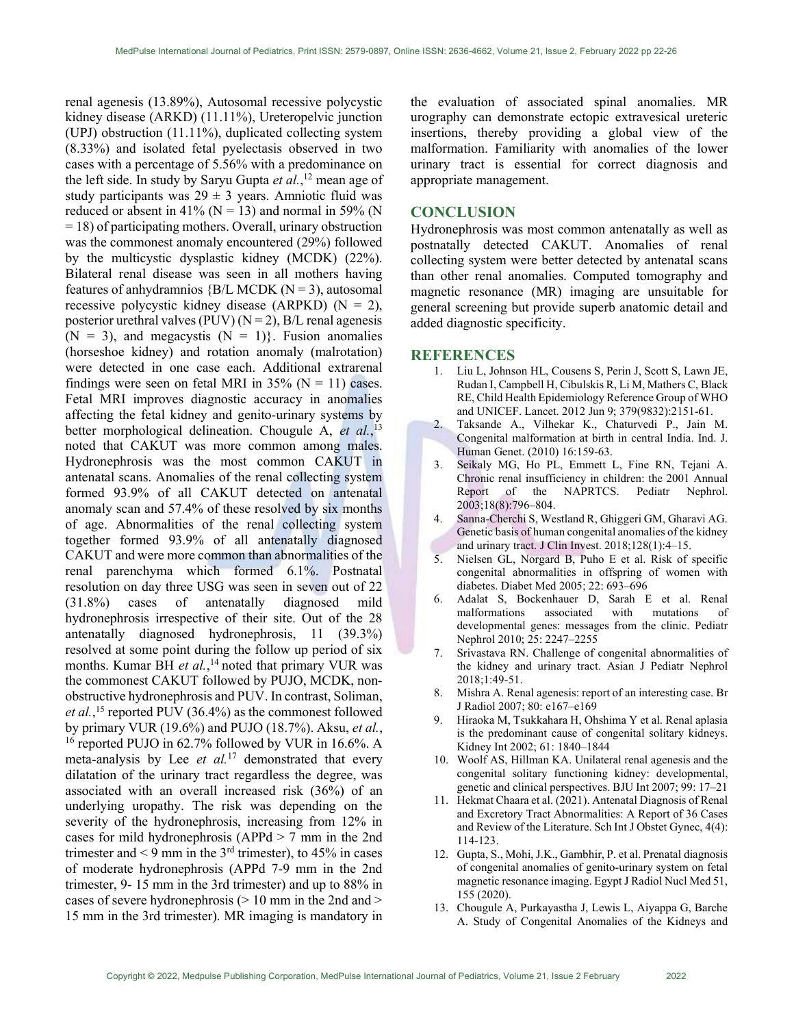renal agenesis (13.89%), Autosomal recessive polycystic kidney disease (ARKD) (11.11%), Ureteropelvic junction (UPJ) obstruction (11.11%), duplicated collecting system (8.33%) and isolated fetal pyelectasis observed in two cases with a percentage of 5.56% with a predominance on the left side. In study by Saryu Gupta  $et al.$ ,<sup>12</sup> mean age of study participants was  $29 \pm 3$  years. Amniotic fluid was reduced or absent in 41% ( $N = 13$ ) and normal in 59% (N = 18) of participating mothers. Overall, urinary obstruction was the commonest anomaly encountered (29%) followed by the multicystic dysplastic kidney (MCDK) (22%). Bilateral renal disease was seen in all mothers having features of anhydramnios  ${BL MCDK (N = 3)}$ , autosomal recessive polycystic kidney disease (ARPKD)  $(N = 2)$ , posterior urethral valves (PUV) ( $N = 2$ ), B/L renal agenesis  $(N = 3)$ , and megacystis  $(N = 1)$ . Fusion anomalies (horseshoe kidney) and rotation anomaly (malrotation) were detected in one case each. Additional extrarenal findings were seen on fetal MRI in  $35\%$  (N = 11) cases. Fetal MRI improves diagnostic accuracy in anomalies affecting the fetal kidney and genito-urinary systems by better morphological delineation. Chougule A, et al.,<sup>13</sup> noted that CAKUT was more common among males. Hydronephrosis was the most common CAKUT in antenatal scans. Anomalies of the renal collecting system formed 93.9% of all CAKUT detected on antenatal anomaly scan and 57.4% of these resolved by six months of age. Abnormalities of the renal collecting system together formed 93.9% of all antenatally diagnosed CAKUT and were more common than abnormalities of the renal parenchyma which formed 6.1%. Postnatal resolution on day three USG was seen in seven out of 22 (31.8%) cases of antenatally diagnosed mild hydronephrosis irrespective of their site. Out of the 28 antenatally diagnosed hydronephrosis, 11 (39.3%) resolved at some point during the follow up period of six months. Kumar BH et al.,<sup>14</sup> noted that primary VUR was the commonest CAKUT followed by PUJO, MCDK, nonobstructive hydronephrosis and PUV. In contrast, Soliman, et al.,<sup>15</sup> reported PUV (36.4%) as the commonest followed by primary VUR (19.6%) and PUJO (18.7%). Aksu, et al., <sup>16</sup> reported PUJO in 62.7% followed by VUR in 16.6%. A meta-analysis by Lee *et al.*<sup>17</sup> demonstrated that every dilatation of the urinary tract regardless the degree, was associated with an overall increased risk (36%) of an underlying uropathy. The risk was depending on the severity of the hydronephrosis, increasing from 12% in cases for mild hydronephrosis (APPd > 7 mm in the 2nd trimester and  $\leq 9$  mm in the 3<sup>rd</sup> trimester), to 45% in cases of moderate hydronephrosis (APPd 7-9 mm in the 2nd trimester, 9- 15 mm in the 3rd trimester) and up to 88% in cases of severe hydronephrosis  $(> 10 \text{ mm in the 2nd and} >$ 15 mm in the 3rd trimester). MR imaging is mandatory in

the evaluation of associated spinal anomalies. MR urography can demonstrate ectopic extravesical ureteric insertions, thereby providing a global view of the malformation. Familiarity with anomalies of the lower urinary tract is essential for correct diagnosis and appropriate management.

#### **CONCLUSION**

Hydronephrosis was most common antenatally as well as postnatally detected CAKUT. Anomalies of renal collecting system were better detected by antenatal scans than other renal anomalies. Computed tomography and magnetic resonance (MR) imaging are unsuitable for general screening but provide superb anatomic detail and added diagnostic specificity.

#### **REFERENCES**

- 1. Liu L, Johnson HL, Cousens S, Perin J, Scott S, Lawn JE, Rudan I, Campbell H, Cibulskis R, Li M, Mathers C, Black RE, Child Health Epidemiology Reference Group of WHO and UNICEF. Lancet. 2012 Jun 9; 379(9832):2151-61.
- 2. Taksande A., Vilhekar K., Chaturvedi P., Jain M. Congenital malformation at birth in central India. Ind. J. Human Genet. (2010) 16:159-63.
- 3. Seikaly MG, Ho PL, Emmett L, Fine RN, Tejani A. Chronic renal insufficiency in children: the 2001 Annual Report of the NAPRTCS. Pediatr Nephrol. 2003;18(8):796–804.
- 4. Sanna-Cherchi S, Westland R, Ghiggeri GM, Gharavi AG. Genetic basis of human congenital anomalies of the kidney and urinary tract. J Clin Invest. 2018;128(1):4–15.
- 5. Nielsen GL, Norgard B, Puho E et al. Risk of specific congenital abnormalities in offspring of women with diabetes. Diabet Med 2005; 22: 693–696
- 6. Adalat S, Bockenhauer D, Sarah E et al. Renal malformations associated with mutations of developmental genes: messages from the clinic. Pediatr Nephrol 2010; 25: 2247–2255
- 7. Srivastava RN. Challenge of congenital abnormalities of the kidney and urinary tract. Asian J Pediatr Nephrol 2018;1:49-51.
- 8. Mishra A. Renal agenesis: report of an interesting case. Br J Radiol 2007; 80: e167–e169
- 9. Hiraoka M, Tsukkahara H, Ohshima Y et al. Renal aplasia is the predominant cause of congenital solitary kidneys. Kidney Int 2002; 61: 1840–1844
- 10. Woolf AS, Hillman KA. Unilateral renal agenesis and the congenital solitary functioning kidney: developmental, genetic and clinical perspectives. BJU Int 2007; 99: 17–21
- 11. Hekmat Chaara et al. (2021). Antenatal Diagnosis of Renal and Excretory Tract Abnormalities: A Report of 36 Cases and Review of the Literature. Sch Int J Obstet Gynec, 4(4): 114-123.
- 12. Gupta, S., Mohi, J.K., Gambhir, P. et al. Prenatal diagnosis of congenital anomalies of genito-urinary system on fetal magnetic resonance imaging. Egypt J Radiol Nucl Med 51, 155 (2020).
- 13. Chougule A, Purkayastha J, Lewis L, Aiyappa G, Barche A. Study of Congenital Anomalies of the Kidneys and